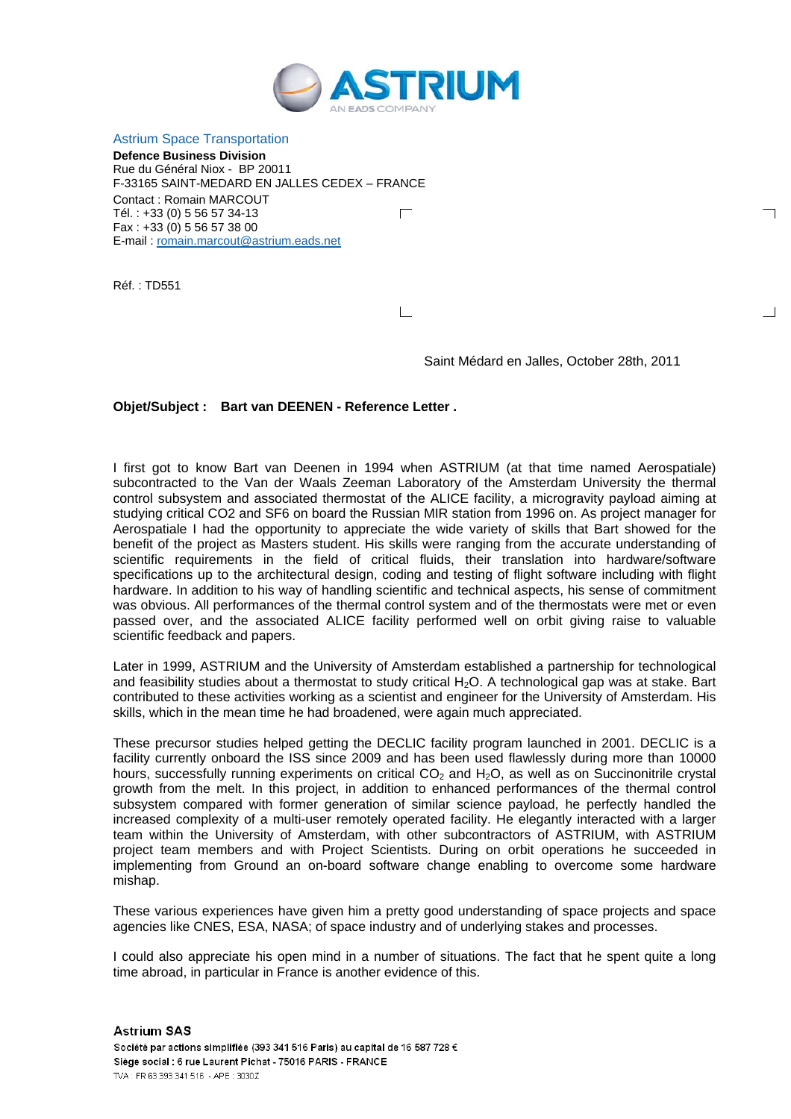

Astrium Space Transportation

**Defence Business Division**  Rue du Général Niox - BP 20011 F-33165 SAINT-MEDARD EN JALLES CEDEX – FRANCE Contact : Romain MARCOUT Tél. : +33 (0) 5 56 57 34-13  $\Box$ Fax : +33 (0) 5 56 57 38 00 E-mail : romain.marcout@astrium.eads.net

Réf. : TD551

 $\Box$ 

Saint Médard en Jalles, October 28th, 2011

┑

 $\overline{\phantom{0}}$ 

## **Objet/Subject : Bart van DEENEN - Reference Letter .**

I first got to know Bart van Deenen in 1994 when ASTRIUM (at that time named Aerospatiale) subcontracted to the Van der Waals Zeeman Laboratory of the Amsterdam University the thermal control subsystem and associated thermostat of the ALICE facility, a microgravity payload aiming at studying critical CO2 and SF6 on board the Russian MIR station from 1996 on. As project manager for Aerospatiale I had the opportunity to appreciate the wide variety of skills that Bart showed for the benefit of the project as Masters student. His skills were ranging from the accurate understanding of scientific requirements in the field of critical fluids, their translation into hardware/software specifications up to the architectural design, coding and testing of flight software including with flight hardware. In addition to his way of handling scientific and technical aspects, his sense of commitment was obvious. All performances of the thermal control system and of the thermostats were met or even passed over, and the associated ALICE facility performed well on orbit giving raise to valuable scientific feedback and papers.

Later in 1999, ASTRIUM and the University of Amsterdam established a partnership for technological and feasibility studies about a thermostat to study critical  $H_2O$ . A technological gap was at stake. Bart contributed to these activities working as a scientist and engineer for the University of Amsterdam. His skills, which in the mean time he had broadened, were again much appreciated.

These precursor studies helped getting the DECLIC facility program launched in 2001. DECLIC is a facility currently onboard the ISS since 2009 and has been used flawlessly during more than 10000 hours, successfully running experiments on critical  $CO<sub>2</sub>$  and  $H<sub>2</sub>O$ , as well as on Succinonitrile crystal growth from the melt. In this project, in addition to enhanced performances of the thermal control subsystem compared with former generation of similar science payload, he perfectly handled the increased complexity of a multi-user remotely operated facility. He elegantly interacted with a larger team within the University of Amsterdam, with other subcontractors of ASTRIUM, with ASTRIUM project team members and with Project Scientists. During on orbit operations he succeeded in implementing from Ground an on-board software change enabling to overcome some hardware mishap.

These various experiences have given him a pretty good understanding of space projects and space agencies like CNES, ESA, NASA; of space industry and of underlying stakes and processes.

I could also appreciate his open mind in a number of situations. The fact that he spent quite a long time abroad, in particular in France is another evidence of this.

**Astrium SAS** Société par actions simplifiée (393 341 516 Paris) au capital de 16 587 728 € Siège social : 6 rue Laurent Pichat - 75016 PARIS - FRANCE TVA: FR 63 393 341 516 - APE: 3030Z